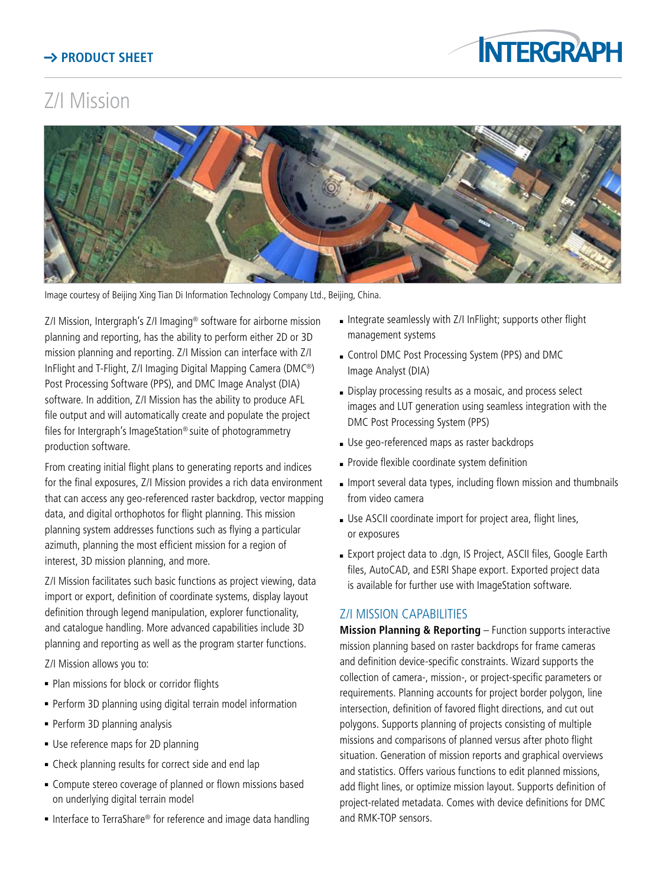## **Product Sheet**



## Z/I Mission



Image courtesy of Beijing Xing Tian Di Information Technology Company Ltd., Beijing, China.

Z/I Mission, Intergraph's Z/I Imaging® software for airborne mission planning and reporting, has the ability to perform either 2D or 3D mission planning and reporting. Z/I Mission can interface with Z/I InFlight and T-Flight, Z/I Imaging Digital Mapping Camera (DMC®) Post Processing Software (PPS), and DMC Image Analyst (DIA) software. In addition, Z/I Mission has the ability to produce AFL file output and will automatically create and populate the project files for Intergraph's ImageStation® suite of photogrammetry production software.

From creating initial flight plans to generating reports and indices for the final exposures, Z/I Mission provides a rich data environment that can access any geo-referenced raster backdrop, vector mapping data, and digital orthophotos for flight planning. This mission planning system addresses functions such as flying a particular azimuth, planning the most efficient mission for a region of interest, 3D mission planning, and more.

Z/I Mission facilitates such basic functions as project viewing, data import or export, definition of coordinate systems, display layout definition through legend manipulation, explorer functionality, and catalogue handling. More advanced capabilities include 3D planning and reporting as well as the program starter functions.

Z/I Mission allows you to:

- Plan missions for block or corridor flights
- Perform 3D planning using digital terrain model information
- Perform 3D planning analysis
- **Use reference maps for 2D planning**
- Check planning results for correct side and end lap
- **-** Compute stereo coverage of planned or flown missions based on underlying digital terrain model
- Interface to TerraShare® for reference and image data handling
- <sup>n</sup> Integrate seamlessly with Z/I InFlight; supports other flight management systems
- **c** Control DMC Post Processing System (PPS) and DMC Image Analyst (DIA)
- Display processing results as a mosaic, and process select images and LUT generation using seamless integration with the DMC Post Processing System (PPS)
- Use geo-referenced maps as raster backdrops
- <sup>n</sup> Provide flexible coordinate system definition
- $\blacksquare$  Import several data types, including flown mission and thumbnails from video camera
- **Jose ASCII coordinate import for project area, flight lines,** or exposures
- **Export project data to .dgn, IS Project, ASCII files, Google Earth** files, AutoCAD, and ESRI Shape export. Exported project data is available for further use with ImageStation software.

## Z/I MISSION CAPABILITIES

**Mission Planning & Reporting** – Function supports interactive mission planning based on raster backdrops for frame cameras and definition device-specific constraints. Wizard supports the collection of camera-, mission-, or project-specific parameters or requirements. Planning accounts for project border polygon, line intersection, definition of favored flight directions, and cut out polygons. Supports planning of projects consisting of multiple missions and comparisons of planned versus after photo flight situation. Generation of mission reports and graphical overviews and statistics. Offers various functions to edit planned missions, add flight lines, or optimize mission layout. Supports definition of project-related metadata. Comes with device definitions for DMC and RMK-TOP sensors.